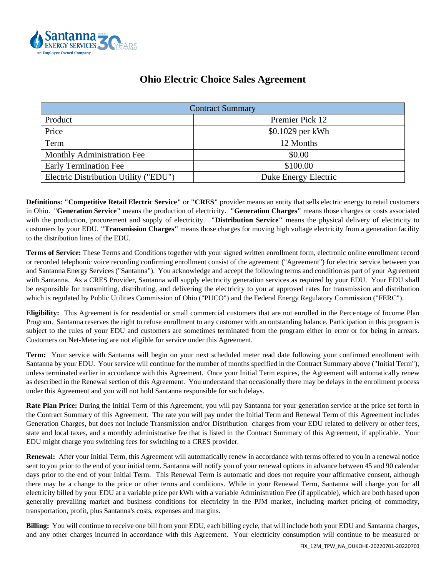

| <b>Ohio Electric Choice Sales Agreement</b> |  |  |  |
|---------------------------------------------|--|--|--|
|---------------------------------------------|--|--|--|

| <b>Contract Summary</b>               |                      |  |  |
|---------------------------------------|----------------------|--|--|
| Product                               | Premier Pick 12      |  |  |
| Price                                 | \$0.1029 per kWh     |  |  |
| Term                                  | 12 Months            |  |  |
| Monthly Administration Fee            | \$0.00               |  |  |
| <b>Early Termination Fee</b>          | \$100.00             |  |  |
| Electric Distribution Utility ("EDU") | Duke Energy Electric |  |  |

**Definitions: "Competitive Retail Electric Service"** or **"CRES"** provider means an entity that sells electric energy to retail customers in Ohio. "**Generation Service"** means the production of electricity. **"Generation Charges"** means those charges or costs associated with the production, procurement and supply of electricity. **"Distribution Service"** means the physical delivery of electricity to customers by your EDU. **"Transmission Charges"** means those charges for moving high voltage electricity from a generation facility to the distribution lines of the EDU.

**Terms of Service:** These Terms and Conditions together with your signed written enrollment form, electronic online enrollment record or recorded telephonic voice recording confirming enrollment consist of the agreement ("Agreement") for electric service between you and Santanna Energy Services ("Santanna"). You acknowledge and accept the following terms and condition as part of your Agreement with Santanna. As a CRES Provider, Santanna will supply electricity generation services as required by your EDU. Your EDU shall be responsible for transmitting, distributing, and delivering the electricity to you at approved rates for transmission and distribution which is regulated by Public Utilities Commission of Ohio ("PUCO") and the Federal Energy Regulatory Commission ("FERC").

**Eligibility:** This Agreement is for residential or small commercial customers that are not enrolled in the Percentage of Income Plan Program. Santanna reserves the right to refuse enrollment to any customer with an outstanding balance. Participation in this program is subject to the rules of your EDU and customers are sometimes terminated from the program either in error or for being in arrears. Customers on Net-Metering are not eligible for service under this Agreement.

**Term:** Your service with Santanna will begin on your next scheduled meter read date following your confirmed enrollment with Santanna by your EDU. Your service will continue for the number of months specified in the Contract Summary above ("Initial Term"), unless terminated earlier in accordance with this Agreement. Once your Initial Term expires, the Agreement will automatically renew as described in the Renewal section of this Agreement. You understand that occasionally there may be delays in the enrollment process under this Agreement and you will not hold Santanna responsible for such delays.

**Rate Plan Price:** During the Initial Term of this Agreement, you will pay Santanna for your generation service at the price set forth in the Contract Summary of this Agreement. The rate you will pay under the Initial Term and Renewal Term of this Agreement includes Generation Charges, but does not include Transmission and/or Distribution charges from your EDU related to delivery or other fees, state and local taxes, and a monthly administrative fee that is listed in the Contract Summary of this Agreement, if applicable. Your EDU might charge you switching fees for switching to a CRES provider.

**Renewal:** After your Initial Term, this Agreement will automatically renew in accordance with terms offered to you in a renewal notice sent to you prior to the end of your initial term. Santanna will notify you of your renewal options in advance between 45 and 90 calendar days prior to the end of your Initial Term. This Renewal Term is automatic and does not require your affirmative consent, although there may be a change to the price or other terms and conditions. While in your Renewal Term, Santanna will charge you for all electricity billed by your EDU at a variable price per kWh with a variable Administration Fee (if applicable), which are both based upon generally prevailing market and business conditions for electricity in the PJM market, including market pricing of commodity, transportation, profit, plus Santanna's costs, expenses and margins.

**Billing:** You will continue to receive one bill from your EDU, each billing cycle, that will include both your EDU and Santanna charges, and any other charges incurred in accordance with this Agreement. Your electricity consumption will continue to be measured or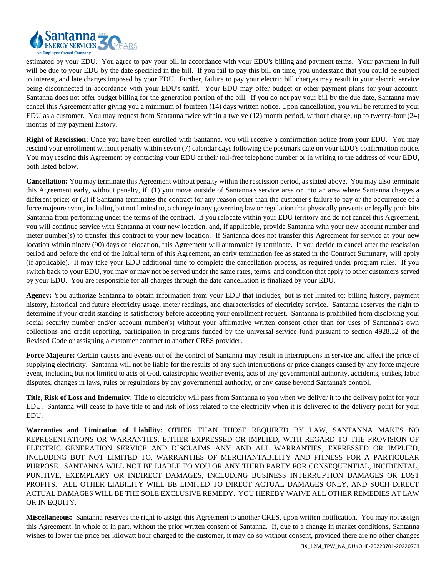

estimated by your EDU. You agree to pay your bill in accordance with your EDU's billing and payment terms. Your payment in full will be due to your EDU by the date specified in the bill. If you fail to pay this bill on time, you understand that you could be subject to interest, and late charges imposed by your EDU. Further, failure to pay your electric bill charges may result in your electric service being disconnected in accordance with your EDU's tariff. Your EDU may offer budget or other payment plans for your account. Santanna does not offer budget billing for the generation portion of the bill. If you do not pay your bill by the due date, Santanna may cancel this Agreement after giving you a minimum of fourteen (14) days written notice. Upon cancellation, you will be returned to your EDU as a customer. You may request from Santanna twice within a twelve (12) month period, without charge, up to twenty-four (24) months of my payment history.

**Right of Rescission:** Once you have been enrolled with Santanna, you will receive a confirmation notice from your EDU.You may rescind your enrollment without penalty within seven (7) calendar days following the postmark date on your EDU's confirmation notice. You may rescind this Agreement by contacting your EDU at their toll-free telephone number or in writing to the address of your EDU, both listed below.

**Cancellation:** You may terminate this Agreement without penalty within the rescission period, as stated above. You may also terminate this Agreement early, without penalty, if: (1) you move outside of Santanna's service area or into an area where Santanna charges a different price; or (2) if Santanna terminates the contract for any reason other than the customer's failure to pay or the occurrence of a force majeure event, including but not limited to, a change in any governing law or regulation that physically prevents or legally prohibits Santanna from performing under the terms of the contract. If you relocate within your EDU territory and do not cancel this Agreement, you will continue service with Santanna at your new location, and, if applicable, provide Santanna with your new account number and meter number(s) to transfer this contract to your new location. If Santanna does not transfer this Agreement for service at your new location within ninety (90) days of relocation, this Agreement will automatically terminate. If you decide to cancel after the rescission period and before the end of the Initial term of this Agreement, an early termination fee as stated in the Contract Summary, will apply (if applicable). It may take your EDU additional time to complete the cancellation process, as required under program rules. If you switch back to your EDU, you may or may not be served under the same rates, terms, and condition that apply to other customers served by your EDU. You are responsible for all charges through the date cancellation is finalized by your EDU.

**Agency:** You authorize Santanna to obtain information from your EDU that includes, but is not limited to: billing history, payment history, historical and future electricity usage, meter readings, and characteristics of electricity service. Santanna reserves the right to determine if your credit standing is satisfactory before accepting your enrollment request. Santanna is prohibited from disclosing your social security number and/or account number(s) without your affirmative written consent other than for uses of Santanna's own collections and credit reporting, participation in programs funded by the universal service fund pursuant to section 4928.52 of the Revised Code or assigning a customer contract to another CRES provider.

Force Majeure: Certain causes and events out of the control of Santanna may result in interruptions in service and affect the price of supplying electricity. Santanna will not be liable for the results of any such interruptions or price changes caused by any force majeure event, including but not limited to acts of God, catastrophic weather events, acts of any governmental authority, accidents, strikes, labor disputes, changes in laws, rules or regulations by any governmental authority, or any cause beyond Santanna's control.

**Title, Risk of Loss and Indemnity:** Title to electricity will pass from Santanna to you when we deliver it to the delivery point for your EDU. Santanna will cease to have title to and risk of loss related to the electricity when it is delivered to the delivery point for your EDU.

**Warranties and Limitation of Liability:** OTHER THAN THOSE REQUIRED BY LAW, SANTANNA MAKES NO REPRESENTATIONS OR WARRANTIES, EITHER EXPRESSED OR IMPLIED, WITH REGARD TO THE PROVISION OF ELECTRIC GENERATION SERVICE AND DISCLAIMS ANY AND ALL WARRANTIES, EXPRESSED OR IMPLIED, INCLUDING BUT NOT LIMITED TO, WARRANTIES OF MERCHANTABILITY AND FITNESS FOR A PARTICULAR PURPOSE. SANTANNA WILL NOT BE LIABLE TO YOU OR ANY THIRD PARTY FOR CONSEQUENTIAL, INCIDENTAL, PUNITIVE, EXEMPLARY OR INDIRECT DAMAGES, INCLUDING BUSINESS INTERRUPTION DAMAGES OR LOST PROFITS. ALL OTHER LIABILITY WILL BE LIMITED TO DIRECT ACTUAL DAMAGES ONLY, AND SUCH DIRECT ACTUAL DAMAGES WILL BE THE SOLE EXCLUSIVE REMEDY. YOU HEREBY WAIVE ALL OTHER REMEDIES AT LAW OR IN EQUITY.

**Miscellaneous:** Santanna reserves the right to assign this Agreement to another CRES, upon written notification. You may not assign this Agreement, in whole or in part, without the prior written consent of Santanna. If, due to a change in market conditions, Santanna wishes to lower the price per kilowatt hour charged to the customer, it may do so without consent, provided there are no other changes